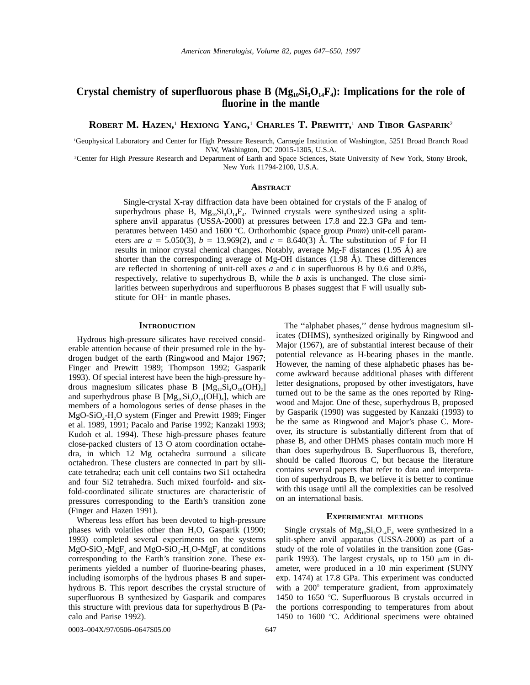# Crystal chemistry of superfluorous phase B  $(Mg_{10}Si_3O_{14}F_4)$ : Implications for the role of **fluorine in the mantle**

**ROBERT M. HAZEN,** <sup>1</sup> **HEXIONG YANG,** <sup>1</sup> **CHARLES T. PREWITT,** <sup>1</sup> **AND TIBOR GASPARIK**<sup>2</sup>

1 Geophysical Laboratory and Center for High Pressure Research, Carnegie Institution of Washington, 5251 Broad Branch Road NW, Washington, DC 20015-1305, U.S.A.

2 Center for High Pressure Research and Department of Earth and Space Sciences, State University of New York, Stony Brook, New York 11794-2100, U.S.A.

### **ABSTRACT**

Single-crystal X-ray diffraction data have been obtained for crystals of the F analog of superhydrous phase B,  $Mg_{10}Si_3O_{14}F_4$ . Twinned crystals were synthesized using a splitsphere anvil apparatus (USSA-2000) at pressures between 17.8 and 22.3 GPa and temperatures between 1450 and 1600 °C. Orthorhombic (space group *Pnnm*) unit-cell parameters are  $a = 5.050(3)$ ,  $b = 13.969(2)$ , and  $c = 8.640(3)$  Å. The substitution of F for H results in minor crystal chemical changes. Notably, average Mg-F distances  $(1.95 \text{ Å})$  are shorter than the corresponding average of Mg-OH distances  $(1.98 \text{ Å})$ . These differences are reflected in shortening of unit-cell axes *a* and *c* in superfluorous B by 0.6 and 0.8%, respectively, relative to superhydrous B, while the *b* axis is unchanged. The close similarities between superhydrous and superfluorous B phases suggest that F will usually substitute for  $OH^-$  in mantle phases.

## **INTRODUCTION**

Hydrous high-pressure silicates have received considerable attention because of their presumed role in the hydrogen budget of the earth (Ringwood and Major 1967; Finger and Prewitt 1989; Thompson 1992; Gasparik 1993). Of special interest have been the high-pressure hydrous magnesium silicates phase B  $[Mg<sub>12</sub>, Si<sub>4</sub>O<sub>19</sub>(OH)<sub>2</sub>]$ and superhydrous phase B  $[Mg_{10}Si_3O_{14}(OH)_4]$ , which are members of a homologous series of dense phases in the MgO-SiO<sub>2</sub>-H<sub>2</sub>O system (Finger and Prewitt 1989; Finger et al. 1989, 1991; Pacalo and Parise 1992; Kanzaki 1993; Kudoh et al. 1994). These high-pressure phases feature close-packed clusters of 13 O atom coordination octahedra, in which 12 Mg octahedra surround a silicate octahedron. These clusters are connected in part by silicate tetrahedra; each unit cell contains two Si1 octahedra and four Si2 tetrahedra. Such mixed fourfold- and sixfold-coordinated silicate structures are characteristic of pressures corresponding to the Earth's transition zone (Finger and Hazen 1991).

Whereas less effort has been devoted to high-pressure phases with volatiles other than H<sub>2</sub>O, Gasparik (1990; 1993) completed several experiments on the systems  $MgO-SiO<sub>2</sub>-MgF<sub>2</sub>$  and  $MgO-SiO<sub>2</sub>-H<sub>2</sub>O-MgF<sub>2</sub>$  at conditions corresponding to the Earth's transition zone. These experiments yielded a number of fluorine-bearing phases, including isomorphs of the hydrous phases B and superhydrous B. This report describes the crystal structure of superfluorous B synthesized by Gasparik and compares this structure with previous data for superhydrous B (Pacalo and Parise 1992).

icates (DHMS), synthesized originally by Ringwood and Major (1967), are of substantial interest because of their potential relevance as H-bearing phases in the mantle. However, the naming of these alphabetic phases has become awkward because additional phases with different letter designations, proposed by other investigators, have turned out to be the same as the ones reported by Ringwood and Major. One of these, superhydrous B, proposed by Gasparik (1990) was suggested by Kanzaki (1993) to be the same as Ringwood and Major's phase C. Moreover, its structure is substantially different from that of phase B, and other DHMS phases contain much more H than does superhydrous B. Superfluorous B, therefore, should be called fluorous C, but because the literature contains several papers that refer to data and interpretation of superhydrous B, we believe it is better to continue with this usage until all the complexities can be resolved on an international basis.

The ''alphabet phases,'' dense hydrous magnesium sil-

## **EXPERIMENTAL METHODS**

Single crystals of  $Mg_{10}Si_3O_{14}F_4$  were synthesized in a split-sphere anvil apparatus (USSA-2000) as part of a study of the role of volatiles in the transition zone (Gasparik 1993). The largest crystals, up to 150  $\mu$ m in diameter, were produced in a 10 min experiment (SUNY exp. 1474) at 17.8 GPa. This experiment was conducted with a  $200^\circ$  temperature gradient, from approximately 1450 to 1650 °C. Superfluorous B crystals occurred in the portions corresponding to temperatures from about 1450 to 1600  $°C$ . Additional specimens were obtained

0003–004X/97/0506–0647\$05.00 647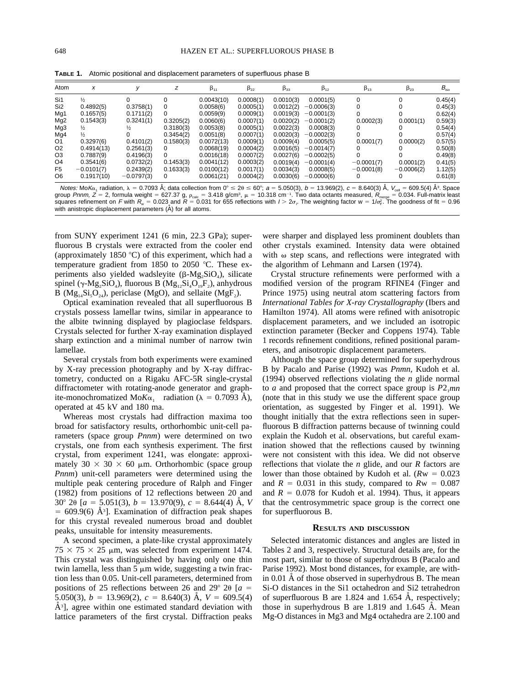Atom  $x$  y  $z$   $\beta_{11}$   $\beta_{22}$   $\beta_{33}$   $\beta_{12}$   $\beta_{13}$   $\beta_{23}$   $\beta_{18}$ Si1 Si2 Mg1 Mg2 Mg3 Mg4 Oĭ O2 O3 O4 F5 O6  $\frac{1}{2}$ 0.4892(5) 0.1657(5) 0.1543(3) ½  $\frac{1}{2}$ 0.3297(6) 0.4914(13) 0.7887(9) 0.3541(6)  $-0.0101(7)$ 0.1917(10)  $\Omega$ 0.3758(1) 0.1711(2) 0.3241(1)  $\frac{1}{2}$ 0 0.4101(2) 0.2561(3) 0.4196(3) 0.0732(2) 0.2439(2)  $-0.0797(3)$  $\Omega$ 0 0 0.3205(2) 0.3180(3) 0.3454(2) 0.1580(3) 0  $\Omega$ 0.1453(3) 0.1633(3)  $\Omega$ 0.0043(10) 0.0058(6) 0.0059(9) 0.0060(6) 0.0053(8) 0.0051(8) 0.0072(13) 0.0068(19) 0.0016(18) 0.0041(12) 0.0100(12) 0.0061(21) 0.0008(1) 0.0005(1) 0.0009(1) 0.0007(1)  $0.0005(1)$ 0.0007(1) 0.0009(1) 0.0004(2) 0.0007(2) 0.0003(2) 0.0017(1) 0.0004(2) 0.0010(3) 0.0012(2) 0.0019(3) 0.0020(2) 0.0022(3) 0.0020(3) 0.0009(4) 0.0016(5) 0.0027(6) 0.0019(4) 0.0034(3) 0.0030(6) 0.0001(5)  $0.0006(3)$  $0.0001(3)$  $0.0001(2)$ 0.0008(3)  $0.0002(3)$ 0.0005(5)  $0.0014(7)$  $0.0002(5)$  $-0.0001(4)$ 0.0008(5)  $-0.0000(6)$  $\overline{0}$ 0  $\overline{0}$ 0.0002(3) 0  $\overline{0}$  $0.0001(7)$ 0 0  $-0.0001(7)$  $-0.0001(8)$ 0 0 0 0 0.0001(1) 0 0 0.0000(2) 0  $\Omega$ 0.0001(2)  $0.0006(2)$  $\Omega$ 0.45(4)  $0.45(3)$ 0.62(4) 0.59(3)  $0.54(4)$  $0.57(4)$  $0.57(5)$ 0.50(8)  $0.49(8)$ 0.41(5) 1.12(5) 0.61(8)

**TABLE 1.** Atomic positional and displacement parameters of superfluous phase B

Notes: MoK $\alpha_1$  radiation,  $\lambda = 0.7093$  Å; data collection from  $0^{\circ} \le 2\theta \le 60^{\circ}$ ;  $a = 5.050(3)$ ,  $b = 13.969(2)$ ,  $c = 8.640(3)$  Å,  $V_{\text{cell}} = 609.5(4)$  Å<sup>3</sup>. Space group Pnnm, Z = 2, formula weight = 627.37 g,  $\rho_{\rm calc}$  = 3.418 g/cm<sup>3</sup>,  $\mu$  = 10.318 cm<sup>-1</sup>. Two data octants measured,  $R_{\rm merge}$  = 0.034. Full-matrix least squares refinement on F with  $R_w$  = 0.023 and  $R$  = 0.031 for 655 reflections with  $I > 2\sigma_i$ . The weighting factor w = 1/ $\sigma_{\rm F}^2$ . The goodness of fit = 0.96 with anistropic displacement parameters  $(A)$  for all atoms.

from SUNY experiment 1241 (6 min, 22.3 GPa); superfluorous B crystals were extracted from the cooler end (approximately 1850  $\degree$ C) of this experiment, which had a temperature gradient from 1850 to 2050  $\degree$ C. These experiments also yielded wadsleyite  $(\beta-Mg,SiO_4)$ , silicate spinel ( $\gamma$ -Mg<sub>2</sub>SiO<sub>4</sub>), fluorous B (Mg<sub>12</sub>Si<sub>4</sub>O<sub>19</sub>F<sub>2</sub>), anhydrous B ( $Mg_{14}Si_5O_{24}$ ), periclase (MgO), and sellaite (MgF<sub>2</sub>).

Optical examination revealed that all superfluorous B crystals possess lamellar twins, similar in appearance to the albite twinning displayed by plagioclase feldspars. Crystals selected for further X-ray examination displayed sharp extinction and a minimal number of narrow twin lamellae.

Several crystals from both experiments were examined by X-ray precession photography and by X-ray diffractometry, conducted on a Rigaku AFC-5R single-crystal diffractometer with rotating-anode generator and graphite-monochromatized Mo $K\alpha_1$  radiation ( $\lambda = 0.7093$  Å), operated at 45 kV and 180 ma.

Whereas most crystals had diffraction maxima too broad for satisfactory results, orthorhombic unit-cell parameters (space group *Pnnm*) were determined on two crystals, one from each synthesis experiment. The first crystal, from experiment 1241, was elongate: approximately  $30 \times 30 \times 60$  µm. Orthorhombic (space group *Pnnm*) unit-cell parameters were determined using the multiple peak centering procedure of Ralph and Finger (1982) from positions of 12 reflections between 20 and  $30^{\circ}$  2 $\theta$  [ $a = 5.051(3), b = 13.970(9), c = 8.644(4)$  Å, *V*  $= 609.9(6)$  Å<sup>3</sup>]. Examination of diffraction peak shapes for this crystal revealed numerous broad and doublet peaks, unsuitable for intensity measurements.

A second specimen, a plate-like crystal approximately  $75 \times 75 \times 25$  µm, was selected from experiment 1474. This crystal was distinguished by having only one thin twin lamella, less than  $5 \mu m$  wide, suggesting a twin fraction less than 0.05. Unit-cell parameters, determined from positions of 25 reflections between 26 and 29 $^{\circ}$  20 [*a* = 5.050(3),  $b = 13.969(2)$ ,  $c = 8.640(3)$  Å,  $V = 609.5(4)$  $\AA$ <sup>3</sup>], agree within one estimated standard deviation with lattice parameters of the first crystal. Diffraction peaks

were sharper and displayed less prominent doublets than other crystals examined. Intensity data were obtained with  $\omega$  step scans, and reflections were integrated with the algorithm of Lehmann and Larsen (1974).

Crystal structure refinements were performed with a modified version of the program RFINE4 (Finger and Prince 1975) using neutral atom scattering factors from *International Tables for X-ray Crystallography* (Ibers and Hamilton 1974). All atoms were refined with anisotropic displacement parameters, and we included an isotropic extinction parameter (Becker and Coppens 1974). Table 1 records refinement conditions, refined positional parameters, and anisotropic displacement parameters.

Although the space group determined for superhydrous B by Pacalo and Parise (1992) was *Pnmn,* Kudoh et al. (1994) observed reflections violating the *n* glide normal to *a* and proposed that the correct space group is  $P2<sub>1</sub>mn$ (note that in this study we use the different space group orientation, as suggested by Finger et al. 1991). We thought initially that the extra reflections seen in superfluorous B diffraction patterns because of twinning could explain the Kudoh et al. observations, but careful examination showed that the reflections caused by twinning were not consistent with this idea. We did not observe reflections that violate the *n* glide, and our *R* factors are lower than those obtained by Kudoh et al.  $(Rw = 0.023)$ and  $R = 0.031$  in this study, compared to  $Rw = 0.087$ and  $R = 0.078$  for Kudoh et al. 1994). Thus, it appears that the centrosymmetric space group is the correct one for superfluorous B.

#### **RESULTS AND DISCUSSION**

Selected interatomic distances and angles are listed in Tables 2 and 3, respectively. Structural details are, for the most part, similar to those of superhydrous B (Pacalo and Parise 1992). Most bond distances, for example, are within  $0.01$  Å of those observed in superhydrous B. The mean Si-O distances in the Si1 octahedron and Si2 tetrahedron of superfluorous B are  $1.824$  and  $1.654$  Å, respectively; those in superhydrous B are  $1.819$  and  $1.645$  Å. Mean Mg-O distances in Mg3 and Mg4 octahedra are 2.100 and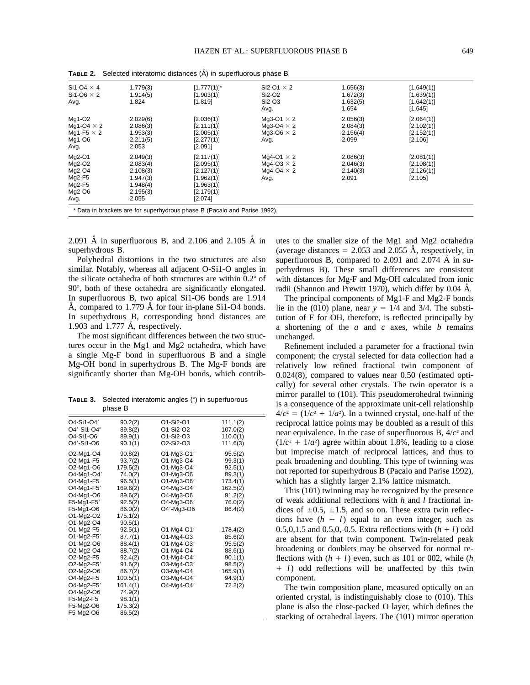| Si1-O4 $\times$ 4<br>Si1-O6 $\times$ 2<br>Avg.                         | 1.779(3)<br>1.914(5)<br>1.824                                                 | $[1.777(1)]^*$<br>[1.903(1)]<br>[1.819]                                                     | Si2-O1 $\times$ 2<br>Si2-O2<br>Si2-O3<br>Avg.                       | 1.656(3)<br>1.672(3)<br>1.632(5)<br>1.654 | [1.649(1)]<br>[1.639(1)]<br>[1.642(1)]<br>[1.645] |  |
|------------------------------------------------------------------------|-------------------------------------------------------------------------------|---------------------------------------------------------------------------------------------|---------------------------------------------------------------------|-------------------------------------------|---------------------------------------------------|--|
| Mg1-O2<br>Mg1-O4 $\times$ 2<br>Mg1-F5 $\times$ 2<br>Mg1-O6<br>Avg.     | 2.029(6)<br>2.086(3)<br>1.953(3)<br>2.211(5)<br>2.053                         | [2.036(1)]<br>[2.111(1)]<br>[2.005(1)]<br>[2.277(1)]<br>[2.091]                             | Mg3-O1 $\times$ 2<br>Mg3-O4 $\times$ 2<br>Mq3-O6 $\times$ 2<br>Avg. | 2.056(3)<br>2.084(3)<br>2.156(4)<br>2.099 | [2.064(1)]<br>[2.102(1)]<br>[2.152(1)]<br>[2.106] |  |
| $Mg2-O1$<br>Mg2-O2<br>Mg2-O4<br>$Mq2-F5$<br>$Mg2-F5$<br>Mg2-O6<br>Avg. | 2.049(3)<br>2.083(4)<br>2.108(3)<br>1.947(3)<br>1.948(4)<br>2.195(3)<br>2.055 | [2.117(1)]<br>[2.095(1)]<br>[2.127(1)]<br>[1.962(1)]<br>[1.963(1)]<br>[2.179(1)]<br>[2.074] | Mq4-O1 $\times$ 2<br>Mg4-O3 $\times$ 2<br>Mq4-O4 $\times$ 2<br>Avg. | 2.086(3)<br>2.046(3)<br>2.140(3)<br>2.091 | [2.081(1)]<br>[2.108(1)]<br>[2.126(1)]<br>[2.105] |  |
|                                                                        |                                                                               | * Data in brackets are for superhydrous phase B (Pacalo and Parise 1992).                   |                                                                     |                                           |                                                   |  |

**TABLE 2.** Selected interatomic distances (A) in superfluorous phase B

2.091  $\AA$  in superfluorous B, and 2.106 and 2.105  $\AA$  in superhydrous B.

Polyhedral distortions in the two structures are also similar. Notably, whereas all adjacent O-Si1-O angles in the silicate octahedra of both structures are within  $0.2^{\circ}$  of 90°, both of these octahedra are significantly elongated. In superfluorous B, two apical Si1-O6 bonds are 1.914  $\AA$ , compared to 1.779  $\AA$  for four in-plane Si1-O4 bonds. In superhydrous B, corresponding bond distances are 1.903 and 1.777  $\AA$ , respectively.

The most significant differences between the two structures occur in the Mg1 and Mg2 octahedra, which have a single Mg-F bond in superfluorous B and a single Mg-OH bond in superhydrous B. The Mg-F bonds are significantly shorter than Mg-OH bonds, which contrib-

**TABLE 3.** Selected interatomic angles (°) in superfuorous phase B

| O4-Si1-O4'<br>O4'-Si1-O4"<br>O <sub>4</sub> -Si <sub>1</sub> -O <sub>6</sub><br>O4'-Si1-O6                                                                                                                                     | 90.2(2)<br>89.8(2)<br>89.9(1)<br>90.1(1)                                                                                                                                                   | O1-Si2-O1<br>O1-Si2-O2<br>O1-Si2-O3<br>O <sub>2</sub> -Si <sub>2</sub> -O <sub>3</sub>                                                                                                                    | 111.1(2)<br>107.0(2)<br>110.0(1)<br>111.6(3)                                                                                                                         |
|--------------------------------------------------------------------------------------------------------------------------------------------------------------------------------------------------------------------------------|--------------------------------------------------------------------------------------------------------------------------------------------------------------------------------------------|-----------------------------------------------------------------------------------------------------------------------------------------------------------------------------------------------------------|----------------------------------------------------------------------------------------------------------------------------------------------------------------------|
| O2-Mg1-O4<br>O2-Mg1-F5<br>O2-Mg1-O6<br>O4-Mg1-O4'<br>O4-Mg1-F5<br>O4-Mg1-F5'<br>O4-Mg1-O6<br>F5-Mg1-F5'<br>F5-Mg1-O6<br>O1-Mg2-O2<br>O1-Mg2-O4<br>O1-Mg2-F5<br>O1-Mg2-F5'<br>O1-Mg2-O6<br>O2-Mg2-O4<br>O2-Mg2-F5<br>O2-Mg2-F5' | 90.8(2)<br>93.7(2)<br>179.5(2)<br>74.0(2)<br>96.5(1)<br>169.6(2)<br>89.6(2)<br>92.5(2)<br>86.0(2)<br>175.1(2)<br>90.5(1)<br>92.5(1)<br>87.7(1)<br>88.4(1)<br>88.7(2)<br>92.4(2)<br>91.6(2) | O1-Mg3-O1'<br>O1-Mg3-O4<br>O1-Mg3-O4'<br>O1-Mg3-O6<br>O1-Mg3-O6'<br>O4-Mg3-O4'<br>O4-Mg3-O6<br>O4-Mg3-O6'<br>O4'-Mg3-O6<br>O1-Mg4-O1'<br>O1-Mg4-O3<br>O1-Mg4-O3'<br>O1-Mg4-O4<br>O1-Mg4-O4'<br>O3-Mg4-O3' | 95.5(2)<br>99.3(1)<br>92.5(1)<br>89.3(1)<br>173.4(1)<br>162.5(2)<br>91.2(2)<br>76.0(2)<br>86.4(2)<br>178.4(2)<br>85.6(2)<br>95.5(2)<br>88.6(1)<br>90.1(1)<br>98.5(2) |
| O2-Mg2-O6<br>O4-Mg2-F5<br>O4-Mg2-F5'<br>O4-Mg2-O6<br>F5-Mg2-F5<br>F5-Mg2-O6<br>F5-Mg2-O6                                                                                                                                       | 86.7(2)<br>100.5(1)<br>161.4(1)<br>74.9(2)<br>98.1(1)<br>175.3(2)<br>86.5(2)                                                                                                               | O3-Mg4-O4<br>O3-Mg4-O4'<br>O4-Mg4-O4'                                                                                                                                                                     | 165.9(1)<br>94.9(1)<br>72.2(2)                                                                                                                                       |

utes to the smaller size of the Mg1 and Mg2 octahedra (average distances  $= 2.053$  and 2.055 Å, respectively, in superfluorous B, compared to  $2.091$  and  $2.074$  Å in superhydrous B). These small differences are consistent with distances for Mg-F and Mg-OH calculated from ionic radii (Shannon and Prewitt 1970), which differ by 0.04 Å.

The principal components of Mg1-F and Mg2-F bonds lie in the (010) plane, near  $y = 1/4$  and 3/4. The substitution of F for OH, therefore, is reflected principally by a shortening of the *a* and *c* axes, while *b* remains unchanged.

Refinement included a parameter for a fractional twin component; the crystal selected for data collection had a relatively low refined fractional twin component of 0.024(8), compared to values near 0.50 (estimated optically) for several other crystals. The twin operator is a mirror parallel to (101). This pseudomerohedral twinning is a consequence of the approximate unit-cell relationship  $4/c^2 = (1/c^2 + 1/a^2)$ . In a twinned crystal, one-half of the reciprocal lattice points may be doubled as a result of this near equivalence. In the case of superfluorous B, 4/*c*<sup>2</sup> and  $(1/c<sup>2</sup> + 1/a<sup>2</sup>)$  agree within about 1.8%, leading to a close but imprecise match of reciprocal lattices, and thus to peak broadening and doubling. This type of twinning was not reported for superhydrous B (Pacalo and Parise 1992), which has a slightly larger 2.1% lattice mismatch.

This (101) twinning may be recognized by the presence of weak additional reflections with *h* and *l* fractional indices of  $\pm 0.5$ ,  $\pm 1.5$ , and so on. These extra twin reflections have  $(h + l)$  equal to an even integer, such as 0.5,0,1.5 and 0.5,0,-0.5. Extra reflections with  $(h + l)$  odd are absent for that twin component. Twin-related peak broadening or doublets may be observed for normal reflections with  $(h + l)$  even, such as 101 or 002, while  $(h)$ 1 *l*) odd reflections will be unaffected by this twin component.

The twin composition plane, measured optically on an oriented crystal, is indistinguishably close to (010). This plane is also the close-packed O layer, which defines the stacking of octahedral layers. The (101) mirror operation